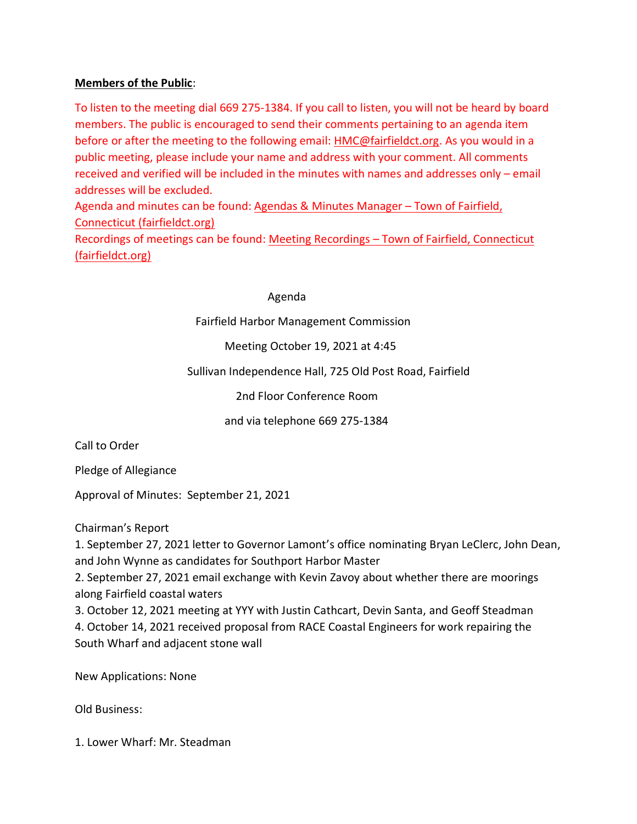## **Members of the Public**:

To listen to the meeting dial 669 275-1384. If you call to listen, you will not be heard by board members. The public is encouraged to send their comments pertaining to an agenda item before or after the meeting to the following email: [HMC@fairfieldct.org.](mailto:HMC@fairfieldct.org) As you would in a public meeting, please include your name and address with your comment. All comments received and verified will be included in the minutes with names and addresses only – email addresses will be excluded.

Agenda and minutes can be found: Agendas & Minutes Manager - Town of Fairfield, Connecticut (fairfieldct.org)

Recordings of meetings can be found: Meeting Recordings – Town of Fairfield, Connecticut (fairfieldct.org)

## Agenda

Fairfield Harbor Management Commission

Meeting October 19, 2021 at 4:45

Sullivan Independence Hall, 725 Old Post Road, Fairfield

2nd Floor Conference Room

and via telephone 669 275-1384

Call to Order

Pledge of Allegiance

Approval of Minutes: September 21, 2021

Chairman's Report

1. September 27, 2021 letter to Governor Lamont's office nominating Bryan LeClerc, John Dean, and John Wynne as candidates for Southport Harbor Master

2. September 27, 2021 email exchange with Kevin Zavoy about whether there are moorings along Fairfield coastal waters

3. October 12, 2021 meeting at YYY with Justin Cathcart, Devin Santa, and Geoff Steadman 4. October 14, 2021 received proposal from RACE Coastal Engineers for work repairing the South Wharf and adjacent stone wall

New Applications: None

Old Business:

1. Lower Wharf: Mr. Steadman